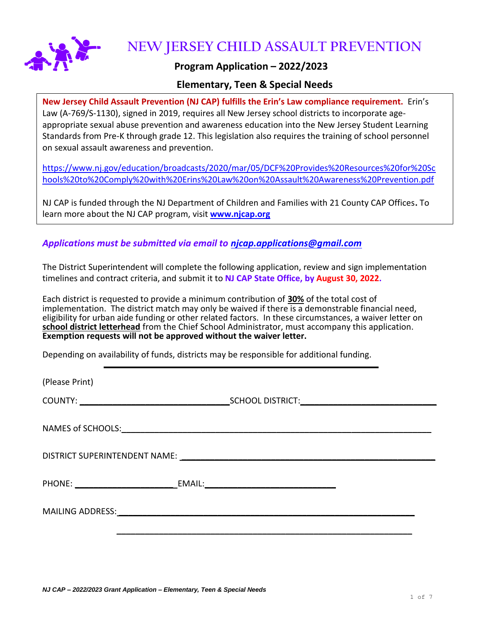

**NEW JERSEY CHILD ASSAULT PREVENTION**

## **Program Application – 2022/2023**

## **Elementary, Teen & Special Needs**

**New Jersey Child Assault Prevention (NJ CAP) fulfills the Erin's Law compliance requirement.** Erin's Law (A-769/S-1130), signed in 2019, requires all New Jersey school districts to incorporate ageappropriate sexual abuse prevention and awareness education into the New Jersey Student Learning Standards from Pre-K through grade 12. This legislation also requires the training of school personnel on sexual assault awareness and prevention.

[https://www.nj.gov/education/broadcasts/2020/mar/05/DCF%20Provides%20Resources%20for%20Sc](https://www.nj.gov/education/broadcasts/2020/mar/05/DCF%20Provides%20Resources%20for%20Schools%20to%20Comply%20with%20Erins%20Law%20on%20Assault%20Awareness%20Prevention.pdf) [hools%20to%20Comply%20with%20Erins%20Law%20on%20Assault%20Awareness%20Prevention.pdf](https://www.nj.gov/education/broadcasts/2020/mar/05/DCF%20Provides%20Resources%20for%20Schools%20to%20Comply%20with%20Erins%20Law%20on%20Assault%20Awareness%20Prevention.pdf)

NJ CAP is funded through the NJ Department of Children and Families with 21 County CAP Offices**.** To learn more about the NJ CAP program, visit **[www.njcap.org](http://www.njcap.org/)**

*Applications must be submitted via email to [njcap.applications@gmail.com](mailto:njcap.applications@gmail.com)*

The District Superintendent will complete the following application, review and sign implementation timelines and contract criteria, and submit it to **NJ CAP State Office, by August 30, 2022.**

Each district is requested to provide a minimum contribution of **30%** of the total cost of implementation. The district match may only be waived if there is a demonstrable financial need, eligibility for urban aide funding or other related factors. In these circumstances, a waiver letter on **school district letterhead** from the Chief School Administrator, must accompany this application. **Exemption requests will not be approved without the waiver letter.** 

Depending on availability of funds, districts may be responsible for additional funding.

(Please Print) COUNTY: **\_\_\_\_\_\_\_\_\_\_\_\_\_\_\_\_\_\_\_\_\_\_\_\_\_\_\_\_\_\_\_\_**SCHOOL DISTRICT:**\_\_\_\_\_\_\_\_\_\_\_\_\_\_\_\_\_\_\_\_\_\_\_\_\_\_\_\_\_** NAMES of SCHOOLS: **with a set of second set of set of set of set of set of set of set of set of set of set of set of set of set of set of set of set of set of set of set of set of set of set of set of set of set of set of** DISTRICT SUPERINTENDENT NAME: **\_\_\_\_\_\_\_\_\_\_\_\_\_\_\_\_\_\_\_\_\_\_\_\_\_\_\_\_\_\_\_\_\_\_\_\_\_\_\_\_\_\_\_\_\_\_\_\_\_\_\_\_\_\_** PHONE: **\_\_\_\_\_\_\_\_\_\_\_\_\_\_\_\_\_\_\_\_\_** EMAIL:**\_\_\_\_\_\_\_\_\_\_\_\_\_\_\_\_\_\_\_\_\_\_\_\_\_\_\_\_** MAILING ADDRESS: **\_\_\_\_\_\_\_\_\_\_\_\_\_\_\_\_\_\_\_\_\_\_\_\_\_\_\_\_\_\_\_\_\_\_\_\_\_\_\_\_\_\_\_\_\_\_\_\_\_\_\_\_\_\_\_\_\_\_\_\_\_\_\_ \_\_\_\_\_\_\_\_\_\_\_\_\_\_\_\_\_\_\_\_\_\_\_\_\_\_\_\_\_\_\_\_\_\_\_\_\_\_\_\_\_\_\_\_\_\_\_\_\_\_\_\_\_\_\_\_\_\_\_\_\_\_\_**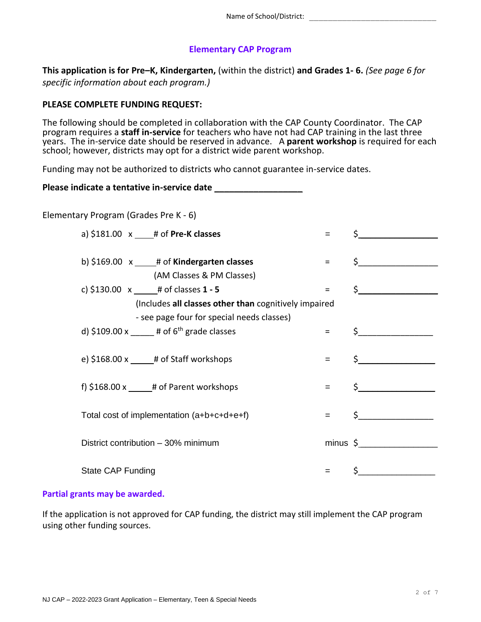## **Elementary CAP Program**

**This application is for Pre–K, Kindergarten,** (within the district) **and Grades 1- 6.** *(See page 6 for specific information about each program.)*

### **PLEASE COMPLETE FUNDING REQUEST:**

The following should be completed in collaboration with the CAP County Coordinator. The CAP program requires a **staff in-service** for teachers who have not had CAP training in the last three years. The in-service date should be reserved in advance. A **parent workshop** is required for each school; however, districts may opt for a district wide parent workshop.

Funding may not be authorized to districts who cannot guarantee in-service dates.

#### **Please indicate a tentative in-service date** \_\_\_\_\_\_\_\_\_\_\_\_\_\_\_\_\_\_

Elementary Program (Grades Pre K - 6)

| a) $$181.00 \times \_ # \text{ of Pre-K classes}$         | $=$                 |                     |
|-----------------------------------------------------------|---------------------|---------------------|
|                                                           |                     |                     |
| b) $$169.00 \times \_ # \text{ of Kindergarten classes}$  | $\equiv$ 1000 $\pm$ | $\zeta$ and $\zeta$ |
| (AM Classes & PM Classes)                                 |                     |                     |
| c) \$130.00 $x$ # of classes 1 - 5                        | $\equiv$ 1000 $\pm$ | $\frac{1}{2}$       |
| (Includes all classes other than cognitively impaired     |                     |                     |
| - see page four for special needs classes)                |                     |                     |
| d) \$109.00 x $\qquad$ # of 6 <sup>th</sup> grade classes | $\equiv$ 1000 $\pm$ | $\frac{1}{2}$       |
|                                                           |                     |                     |
| e) $$168.00 x$ # of Staff workshops                       | $=$                 | $\mathsf{\dot{S}}$  |
|                                                           |                     |                     |
| f) $$168.00 \times \_$ # of Parent workshops              | $=$                 | $\frac{1}{2}$       |
|                                                           |                     |                     |
| Total cost of implementation (a+b+c+d+e+f)                | $=$                 | $\sharp$            |
|                                                           |                     |                     |
| District contribution - 30% minimum                       |                     | $minus \S$          |
|                                                           |                     |                     |
| State CAP Funding                                         | =                   |                     |
|                                                           |                     |                     |

#### **Partial grants may be awarded.**

If the application is not approved for CAP funding, the district may still implement the CAP program using other funding sources.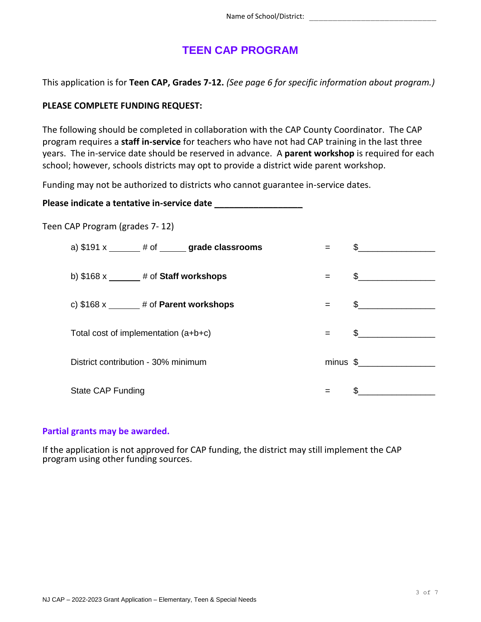# **TEEN CAP PROGRAM**

This application is for **Teen CAP, Grades 7-12.** *(See page 6 for specific information about program.)*

## **PLEASE COMPLETE FUNDING REQUEST:**

The following should be completed in collaboration with the CAP County Coordinator. The CAP program requires a **staff in-service** for teachers who have not had CAP training in the last three years. The in-service date should be reserved in advance. A **parent workshop** is required for each school; however, schools districts may opt to provide a district wide parent workshop.

Funding may not be authorized to districts who cannot guarantee in-service dates.

Please indicate a tentative in-service date

Teen CAP Program (grades 7- 12)

| a) $$191 x$ $*$ $#$ of $*$ grade classrooms |     | $\frac{1}{2}$  |
|---------------------------------------------|-----|----------------|
| b) $$168 x$ ______# of Staff workshops      |     | $\frac{1}{2}$  |
| c) $$168 x$ ______# of Parent workshops     | $=$ | $\frac{1}{2}$  |
| Total cost of implementation $(a+b+c)$      | $=$ | $\mathfrak{S}$ |
|                                             |     |                |
| District contribution - 30% minimum         |     |                |
| State CAP Funding                           |     |                |

## **Partial grants may be awarded.**

If the application is not approved for CAP funding, the district may still implement the CAP program using other funding sources.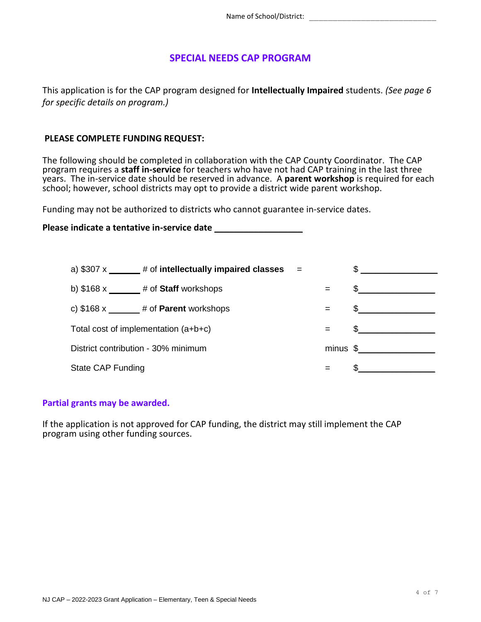## **SPECIAL NEEDS CAP PROGRAM**

This application is for the CAP program designed for **Intellectually Impaired** students. *(See page 6 for specific details on program.)*

#### **PLEASE COMPLETE FUNDING REQUEST:**

The following should be completed in collaboration with the CAP County Coordinator. The CAP program requires a **staff in-service** for teachers who have not had CAP training in the last three years. The in-service date should be reserved in advance. A **parent workshop** is required for each school; however, school districts may opt to provide a district wide parent workshop.

Funding may not be authorized to districts who cannot guarantee in-service dates.

**Please indicate a tentative in-service date** \_\_\_\_\_\_\_\_\_\_\_\_\_\_\_\_\_\_

|                                      | a) $$307 x$ $*$ $*$ of intellectually impaired classes $*$ |     |                                                  |
|--------------------------------------|------------------------------------------------------------|-----|--------------------------------------------------|
| b) $$168 x$ # of Staff workshops     |                                                            | $=$ | $\frac{1}{2}$                                    |
|                                      | c) $$168 x \_\_\_\_ #$ of <b>Parent</b> workshops          | $=$ |                                                  |
| Total cost of implementation (a+b+c) |                                                            | $=$ | <u> 1980 - Jan Barbara Barbara, prima popula</u> |
| District contribution - 30% minimum  |                                                            |     | $minus$ \$                                       |
| State CAP Funding                    |                                                            | $=$ |                                                  |

#### **Partial grants may be awarded.**

If the application is not approved for CAP funding, the district may still implement the CAP program using other funding sources.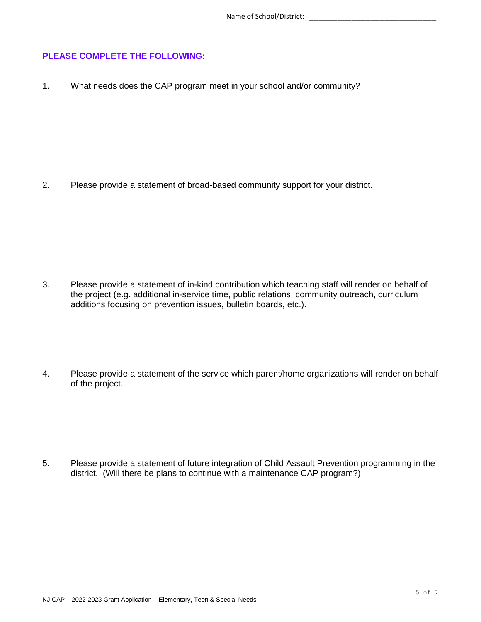## **PLEASE COMPLETE THE FOLLOWING:**

1. What needs does the CAP program meet in your school and/or community?

2. Please provide a statement of broad-based community support for your district.

- 3. Please provide a statement of in-kind contribution which teaching staff will render on behalf of the project (e.g. additional in-service time, public relations, community outreach, curriculum additions focusing on prevention issues, bulletin boards, etc.).
- 4. Please provide a statement of the service which parent/home organizations will render on behalf of the project.

5. Please provide a statement of future integration of Child Assault Prevention programming in the district. (Will there be plans to continue with a maintenance CAP program?)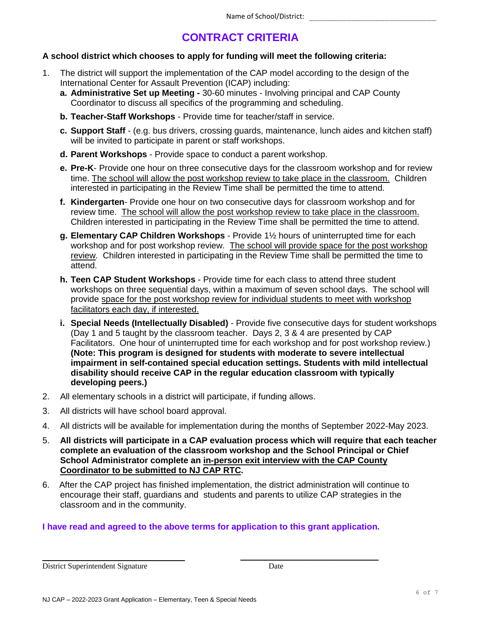# **CONTRACT CRITERIA**

## **A school district which chooses to apply for funding will meet the following criteria:**

- 1. The district will support the implementation of the CAP model according to the design of the International Center for Assault Prevention (ICAP) including:
	- **a. Administrative Set up Meeting -** 30-60 minutes Involving principal and CAP County Coordinator to discuss all specifics of the programming and scheduling.
	- **b. Teacher-Staff Workshops** Provide time for teacher/staff in service.
	- **c. Support Staff**  (e.g. bus drivers, crossing guards, maintenance, lunch aides and kitchen staff) will be invited to participate in parent or staff workshops.
	- **d. Parent Workshops** Provide space to conduct a parent workshop.
	- **e. Pre-K** Provide one hour on three consecutive days for the classroom workshop and for review time. The school will allow the post workshop review to take place in the classroom. Children interested in participating in the Review Time shall be permitted the time to attend.
	- **f. Kindergarten** Provide one hour on two consecutive days for classroom workshop and for review time. The school will allow the post workshop review to take place in the classroom. Children interested in participating in the Review Time shall be permitted the time to attend.
	- **g. Elementary CAP Children Workshops** Provide 1½ hours of uninterrupted time for each workshop and for post workshop review. The school will provide space for the post workshop review. Children interested in participating in the Review Time shall be permitted the time to attend.
	- **h. Teen CAP Student Workshops** Provide time for each class to attend three student workshops on three sequential days, within a maximum of seven school days. The school will provide space for the post workshop review for individual students to meet with workshop facilitators each day, if interested.
	- **i. Special Needs (Intellectually Disabled)** Provide five consecutive days for student workshops (Day 1 and 5 taught by the classroom teacher. Days 2, 3 & 4 are presented by CAP Facilitators. One hour of uninterrupted time for each workshop and for post workshop review.) **(Note: This program is designed for students with moderate to severe intellectual impairment in self-contained special education settings. Students with mild intellectual disability should receive CAP in the regular education classroom with typically developing peers.)**
- 2. All elementary schools in a district will participate, if funding allows.
- 3. All districts will have school board approval.
- 4. All districts will be available for implementation during the months of September 2022-May 2023.
- 5. **All districts will participate in a CAP evaluation process which will require that each teacher complete an evaluation of the classroom workshop and the School Principal or Chief School Administrator complete an in-person exit interview with the CAP County Coordinator to be submitted to NJ CAP RTC.**
- 6.After the CAP project has finished implementation, the district administration will continue to encourage their staff, guardians and students and parents to utilize CAP strategies in the classroom and in the community.

## **I have read and agreed to the above terms for application to this grant application.**

\_\_\_\_\_\_\_\_\_\_\_\_\_\_\_\_\_\_\_\_\_\_\_\_\_\_\_\_\_\_\_\_

District Superintendent Signature Date